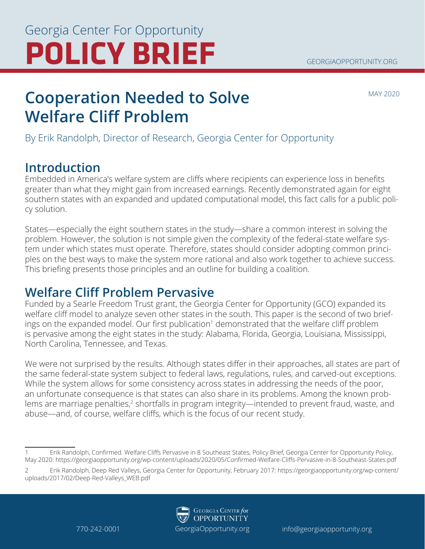#### GEORGIAOPPORTUNITY.ORG

# **POLICY BRIEF** Georgia Center For Opportunity

MAY 2020

### **Cooperation Needed to Solve Welfare Cliff Problem**

By Erik Randolph, Director of Research, Georgia Center for Opportunity

### **Introduction**

Embedded in America's welfare system are cliffs where recipients can experience loss in benefits greater than what they might gain from increased earnings. Recently demonstrated again for eight southern states with an expanded and updated computational model, this fact calls for a public policy solution.

States—especially the eight southern states in the study—share a common interest in solving the problem. However, the solution is not simple given the complexity of the federal-state welfare system under which states must operate. Therefore, states should consider adopting common principles on the best ways to make the system more rational and also work together to achieve success. This briefing presents those principles and an outline for building a coalition.

### **Welfare Cliff Problem Pervasive**

Funded by a Searle Freedom Trust grant, the Georgia Center for Opportunity (GCO) expanded its welfare cliff model to analyze seven other states in the south. This paper is the second of two briefings on the expanded model. Our first publication<sup>1</sup> demonstrated that the welfare cliff problem is pervasive among the eight states in the study: Alabama, Florida, Georgia, Louisiana, Mississippi, North Carolina, Tennessee, and Texas.

We were not surprised by the results. Although states differ in their approaches, all states are part of the same federal-state system subject to federal laws, regulations, rules, and carved-out exceptions. While the system allows for some consistency across states in addressing the needs of the poor, an unfortunate consequence is that states can also share in its problems. Among the known problems are marriage penalties,<sup>2</sup> shortfalls in program integrity—intended to prevent fraud, waste, and abuse—and, of course, welfare cliffs, which is the focus of our recent study.

<sup>2</sup> Erik Randolph, Deep Red Valleys, Georgia Center for Opportunity, February 2017: https://georgiaopportunity.org/wp-content/ uploads/2017/02/Deep-Red-Valleys\_WEB.pdf



<sup>1</sup> Erik Randolph, Confirmed. Welfare Cliffs Pervasive in 8 Southeast States, Policy Brief, Georgia Center for Opportunity Policy, May 2020: https://georgiaopportunity.org/wp-content/uploads/2020/05/Confirmed-Welfare-Cliffs-Pervasive-in-8-Southeast-States.pdf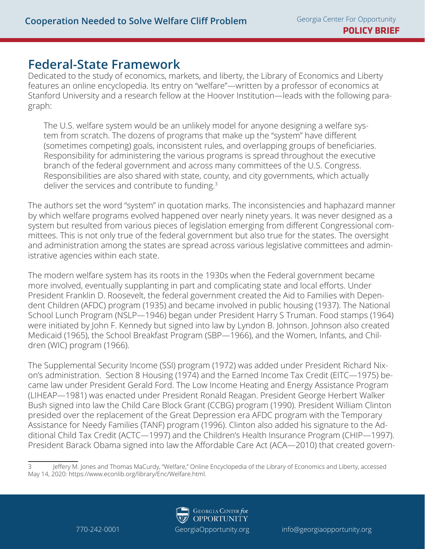#### **Federal-State Framework**

Dedicated to the study of economics, markets, and liberty, the Library of Economics and Liberty features an online encyclopedia. Its entry on "welfare"—written by a professor of economics at Stanford University and a research fellow at the Hoover Institution—leads with the following paragraph:

The U.S. welfare system would be an unlikely model for anyone designing a welfare system from scratch. The dozens of programs that make up the "system" have different (sometimes competing) goals, inconsistent rules, and overlapping groups of beneficiaries. Responsibility for administering the various programs is spread throughout the executive branch of the federal government and across many committees of the U.S. Congress. Responsibilities are also shared with state, county, and city governments, which actually deliver the services and contribute to funding.<sup>3</sup>

The authors set the word "system" in quotation marks. The inconsistencies and haphazard manner by which welfare programs evolved happened over nearly ninety years. It was never designed as a system but resulted from various pieces of legislation emerging from different Congressional committees. This is not only true of the federal government but also true for the states. The oversight and administration among the states are spread across various legislative committees and administrative agencies within each state.

The modern welfare system has its roots in the 1930s when the Federal government became more involved, eventually supplanting in part and complicating state and local efforts. Under President Franklin D. Roosevelt, the federal government created the Aid to Families with Dependent Children (AFDC) program (1935) and became involved in public housing (1937). The National School Lunch Program (NSLP—1946) began under President Harry S Truman. Food stamps (1964) were initiated by John F. Kennedy but signed into law by Lyndon B. Johnson. Johnson also created Medicaid (1965), the School Breakfast Program (SBP—1966), and the Women, Infants, and Children (WIC) program (1966).

The Supplemental Security Income (SSI) program (1972) was added under President Richard Nixon's administration. Section 8 Housing (1974) and the Earned Income Tax Credit (EITC—1975) became law under President Gerald Ford. The Low Income Heating and Energy Assistance Program (LIHEAP—1981) was enacted under President Ronald Reagan. President George Herbert Walker Bush signed into law the Child Care Block Grant (CCBG) program (1990). President William Clinton presided over the replacement of the Great Depression era AFDC program with the Temporary Assistance for Needy Families (TANF) program (1996). Clinton also added his signature to the Additional Child Tax Credit (ACTC—1997) and the Children's Health Insurance Program (CHIP—1997). President Barack Obama signed into law the Affordable Care Act (ACA—2010) that created govern-

Jeffery M. Jones and Thomas MaCurdy, "Welfare," Online Encyclopedia of the Library of Economics and Liberty, accessed May 14, 2020: https://www.econlib.org/library/Enc/Welfare.html.

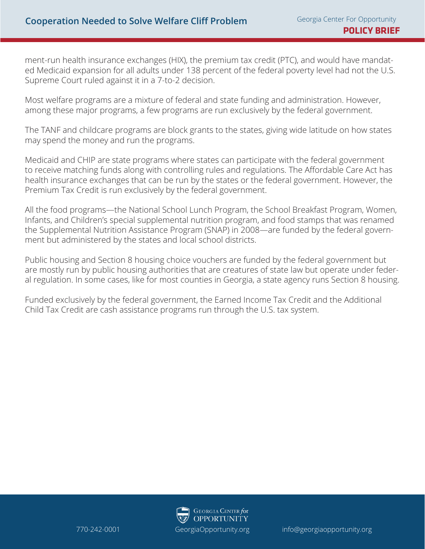ment-run health insurance exchanges (HIX), the premium tax credit (PTC), and would have mandated Medicaid expansion for all adults under 138 percent of the federal poverty level had not the U.S. Supreme Court ruled against it in a 7-to-2 decision.

Most welfare programs are a mixture of federal and state funding and administration. However, among these major programs, a few programs are run exclusively by the federal government.

The TANF and childcare programs are block grants to the states, giving wide latitude on how states may spend the money and run the programs.

Medicaid and CHIP are state programs where states can participate with the federal government to receive matching funds along with controlling rules and regulations. The Affordable Care Act has health insurance exchanges that can be run by the states or the federal government. However, the Premium Tax Credit is run exclusively by the federal government.

All the food programs—the National School Lunch Program, the School Breakfast Program, Women, Infants, and Children's special supplemental nutrition program, and food stamps that was renamed the Supplemental Nutrition Assistance Program (SNAP) in 2008—are funded by the federal government but administered by the states and local school districts.

Public housing and Section 8 housing choice vouchers are funded by the federal government but are mostly run by public housing authorities that are creatures of state law but operate under federal regulation. In some cases, like for most counties in Georgia, a state agency runs Section 8 housing.

Funded exclusively by the federal government, the Earned Income Tax Credit and the Additional Child Tax Credit are cash assistance programs run through the U.S. tax system.

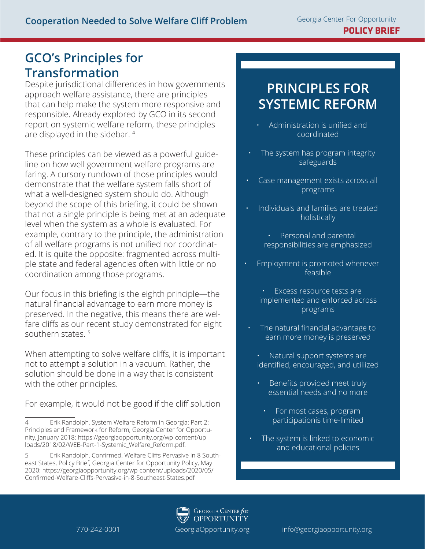#### **GCO's Principles for Transformation**

Despite jurisdictional differences in how governments approach welfare assistance, there are principles that can help make the system more responsive and responsible. Already explored by GCO in its second report on systemic welfare reform, these principles are displayed in the sidebar. 4

These principles can be viewed as a powerful guideline on how well government welfare programs are faring. A cursory rundown of those principles would demonstrate that the welfare system falls short of what a well-designed system should do. Although beyond the scope of this briefing, it could be shown that not a single principle is being met at an adequate level when the system as a whole is evaluated. For example, contrary to the principle, the administration of all welfare programs is not unified nor coordinated. It is quite the opposite: fragmented across multiple state and federal agencies often with little or no coordination among those programs.

Our focus in this briefing is the eighth principle—the natural financial advantage to earn more money is preserved. In the negative, this means there are welfare cliffs as our recent study demonstrated for eight southern states. 5

When attempting to solve welfare cliffs, it is important not to attempt a solution in a vacuum. Rather, the solution should be done in a way that is consistent with the other principles.

For example, it would not be good if the cliff solution

### **PRINCIPLES FOR SYSTEMIC REFORM**

- Administration is unified and coordinated
- The system has program integrity safeguards
- Case management exists across all programs
- Individuals and families are treated holistically
	- Personal and parental responsibilities are emphasized
- Employment is promoted whenever feasible
	- Excess resource tests are implemented and enforced across programs
	- The natural financial advantage to earn more money is preserved
		- Natural support systems are identified, encouraged, and utiliized
		- Benefits provided meet truly essential needs and no more
			- For most cases, program participationis time-limited
	- The system is linked to economic and educational policies

**GEORGIA CENTER for OPPORTUNITY** 

<sup>4</sup> Erik Randolph, System Welfare Reform in Georgia: Part 2: Principles and Framework for Reform, Georgia Center for Opportunity, January 2018: https://georgiaopportunity.org/wp-content/uploads/2018/02/WEB-Part-1-Systemic\_Welfare\_Reform.pdf.

<sup>5</sup> Erik Randolph, Confirmed. Welfare Cliffs Pervasive in 8 Southeast States, Policy Brief, Georgia Center for Opportunity Policy, May 2020: https://georgiaopportunity.org/wp-content/uploads/2020/05/ Confirmed-Welfare-Cliffs-Pervasive-in-8-Southeast-States.pdf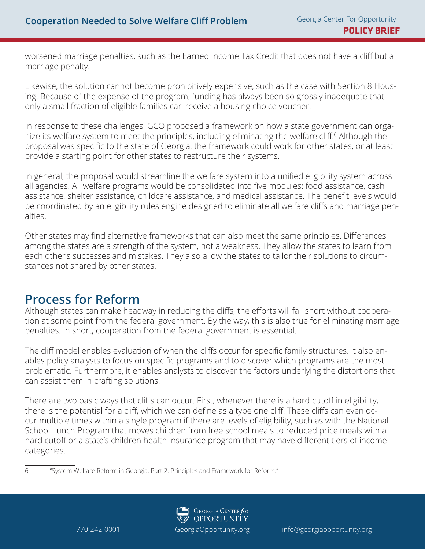worsened marriage penalties, such as the Earned Income Tax Credit that does not have a cliff but a marriage penalty.

Likewise, the solution cannot become prohibitively expensive, such as the case with Section 8 Housing. Because of the expense of the program, funding has always been so grossly inadequate that only a small fraction of eligible families can receive a housing choice voucher.

In response to these challenges, GCO proposed a framework on how a state government can organize its welfare system to meet the principles, including eliminating the welfare cliff.6 Although the proposal was specific to the state of Georgia, the framework could work for other states, or at least provide a starting point for other states to restructure their systems.

In general, the proposal would streamline the welfare system into a unified eligibility system across all agencies. All welfare programs would be consolidated into five modules: food assistance, cash assistance, shelter assistance, childcare assistance, and medical assistance. The benefit levels would be coordinated by an eligibility rules engine designed to eliminate all welfare cliffs and marriage penalties.

Other states may find alternative frameworks that can also meet the same principles. Differences among the states are a strength of the system, not a weakness. They allow the states to learn from each other's successes and mistakes. They also allow the states to tailor their solutions to circumstances not shared by other states.

#### **Process for Reform**

Although states can make headway in reducing the cliffs, the efforts will fall short without cooperation at some point from the federal government. By the way, this is also true for eliminating marriage penalties. In short, cooperation from the federal government is essential.

The cliff model enables evaluation of when the cliffs occur for specific family structures. It also enables policy analysts to focus on specific programs and to discover which programs are the most problematic. Furthermore, it enables analysts to discover the factors underlying the distortions that can assist them in crafting solutions.

There are two basic ways that cliffs can occur. First, whenever there is a hard cutoff in eligibility, there is the potential for a cliff, which we can define as a type one cliff. These cliffs can even occur multiple times within a single program if there are levels of eligibility, such as with the National School Lunch Program that moves children from free school meals to reduced price meals with a hard cutoff or a state's children health insurance program that may have different tiers of income categories.

<sup>6</sup> "System Welfare Reform in Georgia: Part 2: Principles and Framework for Reform."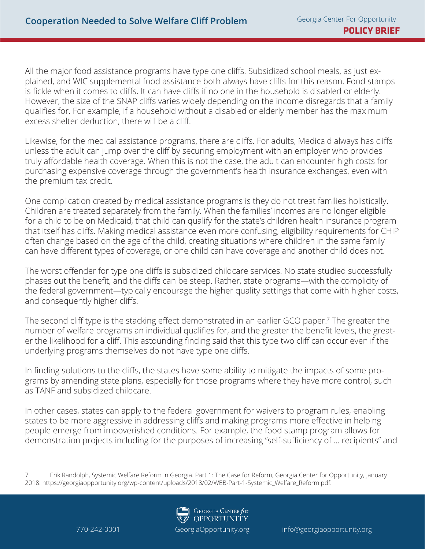All the major food assistance programs have type one cliffs. Subsidized school meals, as just explained, and WIC supplemental food assistance both always have cliffs for this reason. Food stamps is fickle when it comes to cliffs. It can have cliffs if no one in the household is disabled or elderly. However, the size of the SNAP cliffs varies widely depending on the income disregards that a family qualifies for. For example, if a household without a disabled or elderly member has the maximum excess shelter deduction, there will be a cliff.

Likewise, for the medical assistance programs, there are cliffs. For adults, Medicaid always has cliffs unless the adult can jump over the cliff by securing employment with an employer who provides truly affordable health coverage. When this is not the case, the adult can encounter high costs for purchasing expensive coverage through the government's health insurance exchanges, even with the premium tax credit.

One complication created by medical assistance programs is they do not treat families holistically. Children are treated separately from the family. When the families' incomes are no longer eligible for a child to be on Medicaid, that child can qualify for the state's children health insurance program that itself has cliffs. Making medical assistance even more confusing, eligibility requirements for CHIP often change based on the age of the child, creating situations where children in the same family can have different types of coverage, or one child can have coverage and another child does not.

The worst offender for type one cliffs is subsidized childcare services. No state studied successfully phases out the benefit, and the cliffs can be steep. Rather, state programs—with the complicity of the federal government—typically encourage the higher quality settings that come with higher costs, and consequently higher cliffs.

The second cliff type is the stacking effect demonstrated in an earlier GCO paper.7 The greater the number of welfare programs an individual qualifies for, and the greater the benefit levels, the greater the likelihood for a cliff. This astounding finding said that this type two cliff can occur even if the underlying programs themselves do not have type one cliffs.

In finding solutions to the cliffs, the states have some ability to mitigate the impacts of some programs by amending state plans, especially for those programs where they have more control, such as TANF and subsidized childcare.

In other cases, states can apply to the federal government for waivers to program rules, enabling states to be more aggressive in addressing cliffs and making programs more effective in helping people emerge from impoverished conditions. For example, the food stamp program allows for demonstration projects including for the purposes of increasing "self-sufficiency of … recipients" and

<sup>7</sup> Erik Randolph, Systemic Welfare Reform in Georgia. Part 1: The Case for Reform, Georgia Center for Opportunity, January 2018: https://georgiaopportunity.org/wp-content/uploads/2018/02/WEB-Part-1-Systemic\_Welfare\_Reform.pdf.

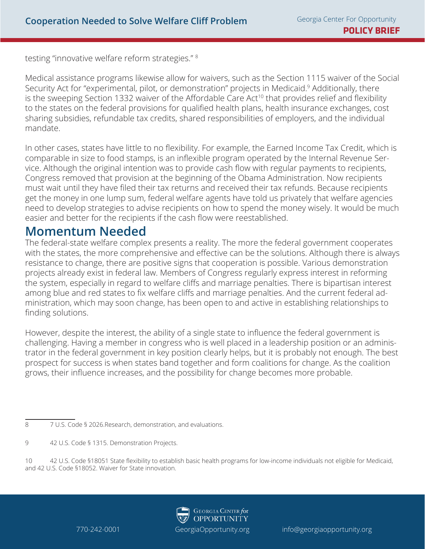testing "innovative welfare reform strategies." 8

Medical assistance programs likewise allow for waivers, such as the Section 1115 waiver of the Social Security Act for "experimental, pilot, or demonstration" projects in Medicaid.<sup>9</sup> Additionally, there is the sweeping Section 1332 waiver of the Affordable Care Act<sup>10</sup> that provides relief and flexibility to the states on the federal provisions for qualified health plans, health insurance exchanges, cost sharing subsidies, refundable tax credits, shared responsibilities of employers, and the individual mandate.

In other cases, states have little to no flexibility. For example, the Earned Income Tax Credit, which is comparable in size to food stamps, is an inflexible program operated by the Internal Revenue Service. Although the original intention was to provide cash flow with regular payments to recipients, Congress removed that provision at the beginning of the Obama Administration. Now recipients must wait until they have filed their tax returns and received their tax refunds. Because recipients get the money in one lump sum, federal welfare agents have told us privately that welfare agencies need to develop strategies to advise recipients on how to spend the money wisely. It would be much easier and better for the recipients if the cash flow were reestablished.

#### **Momentum Needed**

The federal-state welfare complex presents a reality. The more the federal government cooperates with the states, the more comprehensive and effective can be the solutions. Although there is always resistance to change, there are positive signs that cooperation is possible. Various demonstration projects already exist in federal law. Members of Congress regularly express interest in reforming the system, especially in regard to welfare cliffs and marriage penalties. There is bipartisan interest among blue and red states to fix welfare cliffs and marriage penalties. And the current federal administration, which may soon change, has been open to and active in establishing relationships to finding solutions.

However, despite the interest, the ability of a single state to influence the federal government is challenging. Having a member in congress who is well placed in a leadership position or an administrator in the federal government in key position clearly helps, but it is probably not enough. The best prospect for success is when states band together and form coalitions for change. As the coalition grows, their influence increases, and the possibility for change becomes more probable.

8 7 U.S. Code § 2026.Research, demonstration, and evaluations.

9 42 U.S. Code § 1315. Demonstration Projects.

10 42 U.S. Code §18051 State flexibility to establish basic health programs for low-income individuals not eligible for Medicaid, and 42 U.S. Code §18052. Waiver for State innovation.

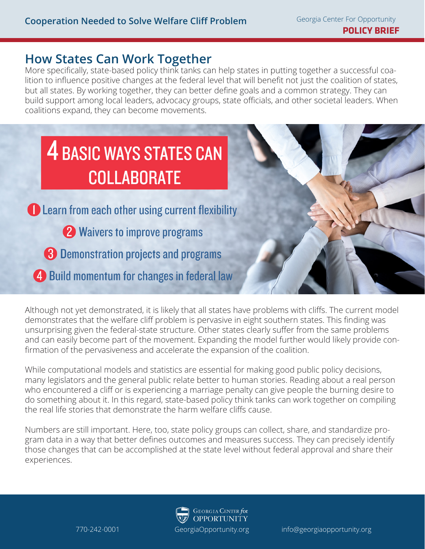#### **How States Can Work Together**

More specifically, state-based policy think tanks can help states in putting together a successful coalition to influence positive changes at the federal level that will benefit not just the coalition of states, but all states. By working together, they can better define goals and a common strategy. They can build support among local leaders, advocacy groups, state officials, and other societal leaders. When coalitions expand, they can become movements.

## **4 BASIC WAYS STATES CAN COLLABORATE**

Learn from each other using current flexibility

2 Waivers to improve programs

**8** Demonstration projects and programs

4 Build momentum for changes in federal law

Although not yet demonstrated, it is likely that all states have problems with cliffs. The current model demonstrates that the welfare cliff problem is pervasive in eight southern states. This finding was unsurprising given the federal-state structure. Other states clearly suffer from the same problems and can easily become part of the movement. Expanding the model further would likely provide confirmation of the pervasiveness and accelerate the expansion of the coalition.

While computational models and statistics are essential for making good public policy decisions, many legislators and the general public relate better to human stories. Reading about a real person who encountered a cliff or is experiencing a marriage penalty can give people the burning desire to do something about it. In this regard, state-based policy think tanks can work together on compiling the real life stories that demonstrate the harm welfare cliffs cause.

Numbers are still important. Here, too, state policy groups can collect, share, and standardize program data in a way that better defines outcomes and measures success. They can precisely identify those changes that can be accomplished at the state level without federal approval and share their experiences.

**GEORGIA** CENTER for

**OPPORTUNITY**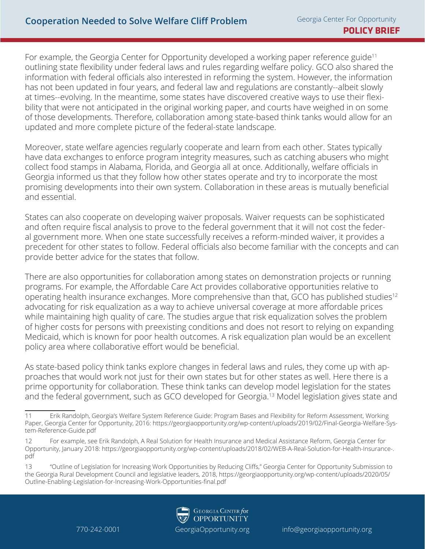For example, the Georgia Center for Opportunity developed a working paper reference guide<sup>11</sup> outlining state flexibility under federal laws and rules regarding welfare policy. GCO also shared the information with federal officials also interested in reforming the system. However, the information has not been updated in four years, and federal law and regulations are constantly--albeit slowly at times--evolving. In the meantime, some states have discovered creative ways to use their flexibility that were not anticipated in the original working paper, and courts have weighed in on some of those developments. Therefore, collaboration among state-based think tanks would allow for an updated and more complete picture of the federal-state landscape.

Moreover, state welfare agencies regularly cooperate and learn from each other. States typically have data exchanges to enforce program integrity measures, such as catching abusers who might collect food stamps in Alabama, Florida, and Georgia all at once. Additionally, welfare officials in Georgia informed us that they follow how other states operate and try to incorporate the most promising developments into their own system. Collaboration in these areas is mutually beneficial and essential.

States can also cooperate on developing waiver proposals. Waiver requests can be sophisticated and often require fiscal analysis to prove to the federal government that it will not cost the federal government more. When one state successfully receives a reform-minded waiver, it provides a precedent for other states to follow. Federal officials also become familiar with the concepts and can provide better advice for the states that follow.

There are also opportunities for collaboration among states on demonstration projects or running programs. For example, the Affordable Care Act provides collaborative opportunities relative to operating health insurance exchanges. More comprehensive than that, GCO has published studies<sup>12</sup> advocating for risk equalization as a way to achieve universal coverage at more affordable prices while maintaining high quality of care. The studies argue that risk equalization solves the problem of higher costs for persons with preexisting conditions and does not resort to relying on expanding Medicaid, which is known for poor health outcomes. A risk equalization plan would be an excellent policy area where collaborative effort would be beneficial.

As state-based policy think tanks explore changes in federal laws and rules, they come up with approaches that would work not just for their own states but for other states as well. Here there is a prime opportunity for collaboration. These think tanks can develop model legislation for the states and the federal government, such as GCO developed for Georgia.<sup>13</sup> Model legislation gives state and

<sup>13</sup> "Outline of Legislation for Increasing Work Opportunities by Reducing Cliffs," Georgia Center for Opportunity Submission to the Georgia Rural Development Council and legislative leaders, 2018, https://georgiaopportunity.org/wp-content/uploads/2020/05/ Outline-Enabling-Legislation-for-Increasing-Work-Opportunities-final.pdf



<sup>11</sup> Erik Randolph, Georgia's Welfare System Reference Guide: Program Bases and Flexibility for Reform Assessment, Working Paper, Georgia Center for Opportunity, 2016: https://georgiaopportunity.org/wp-content/uploads/2019/02/Final-Georgia-Welfare-System-Reference-Guide.pdf

<sup>12</sup> For example, see Erik Randolph, A Real Solution for Health Insurance and Medical Assistance Reform, Georgia Center for Opportunity, January 2018: https://georgiaopportunity.org/wp-content/uploads/2018/02/WEB-A-Real-Solution-for-Health-Insurance-. pdf